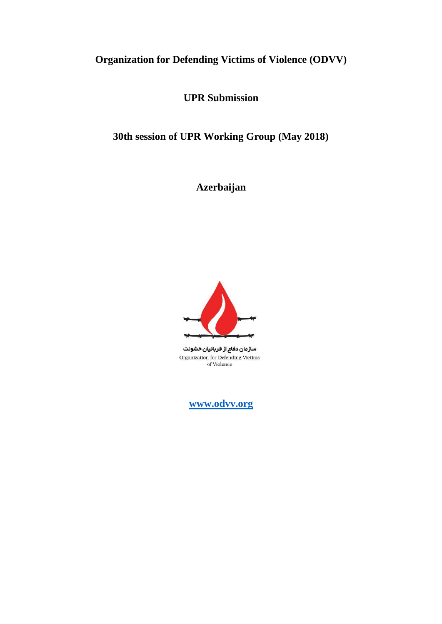# **Organization for Defending Victims of Violence (ODVV)**

**UPR Submission**

**30th session of UPR Working Group (May 2018)** 

**Azerbaijan**



سازمان دفاع از قربانیان خشونت Organization for Defending Victims of Violence

**[www.odvv.org](http://www.odvv.org/)**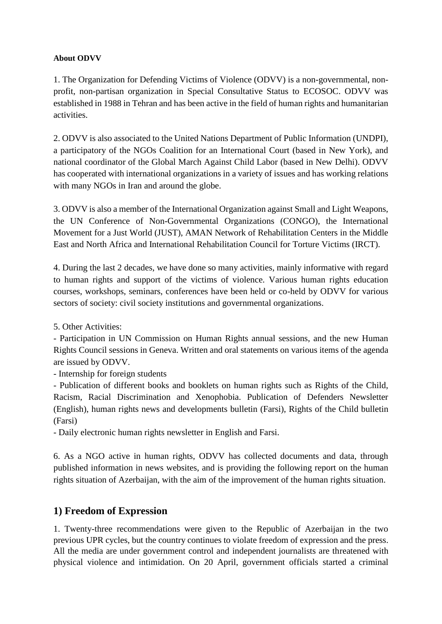#### **About ODVV**

1. The Organization for Defending Victims of Violence (ODVV) is a non-governmental, nonprofit, non-partisan organization in Special Consultative Status to ECOSOC. ODVV was established in 1988 in Tehran and has been active in the field of human rights and humanitarian activities.

2. ODVV is also associated to the United Nations Department of Public Information (UNDPI), a participatory of the NGOs Coalition for an International Court (based in New York), and national coordinator of the Global March Against Child Labor (based in New Delhi). ODVV has cooperated with international organizations in a variety of issues and has working relations with many NGOs in Iran and around the globe.

3. ODVV is also a member of the International Organization against Small and Light Weapons, the UN Conference of Non-Governmental Organizations (CONGO), the International Movement for a Just World (JUST), AMAN Network of Rehabilitation Centers in the Middle East and North Africa and International Rehabilitation Council for Torture Victims (IRCT).

4. During the last 2 decades, we have done so many activities, mainly informative with regard to human rights and support of the victims of violence. Various human rights education courses, workshops, seminars, conferences have been held or co-held by ODVV for various sectors of society: civil society institutions and governmental organizations.

5. Other Activities:

- Participation in UN Commission on Human Rights annual sessions, and the new Human Rights Council sessions in Geneva. Written and oral statements on various items of the agenda are issued by ODVV.

- Internship for foreign students

- Publication of different books and booklets on human rights such as Rights of the Child, Racism, Racial Discrimination and Xenophobia. Publication of Defenders Newsletter (English), human rights news and developments bulletin (Farsi), Rights of the Child bulletin (Farsi)

- Daily electronic human rights newsletter in English and Farsi.

6. As a NGO active in human rights, ODVV has collected documents and data, through published information in news websites, and is providing the following report on the human rights situation of Azerbaijan, with the aim of the improvement of the human rights situation.

### **1) Freedom of Expression**

1. Twenty-three recommendations were given to the Republic of Azerbaijan in the two previous UPR cycles, but the country continues to violate freedom of expression and the press. All the media are under government control and independent journalists are threatened with physical violence and intimidation. On 20 April, government officials started a criminal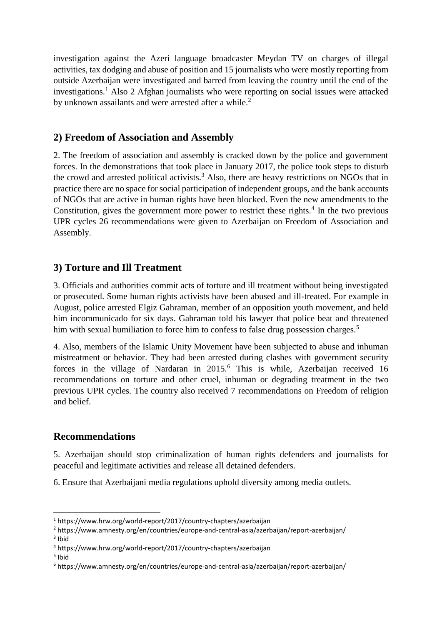investigation against the Azeri language broadcaster Meydan TV on charges of illegal activities, tax dodging and abuse of position and 15 journalists who were mostly reporting from outside Azerbaijan were investigated and barred from leaving the country until the end of the investigations.<sup>1</sup> Also 2 Afghan journalists who were reporting on social issues were attacked by unknown assailants and were arrested after a while.<sup>2</sup>

# **2) Freedom of Association and Assembly**

2. The freedom of association and assembly is cracked down by the police and government forces. In the demonstrations that took place in January 2017, the police took steps to disturb the crowd and arrested political activists.<sup>3</sup> Also, there are heavy restrictions on NGOs that in practice there are no space for social participation of independent groups, and the bank accounts of NGOs that are active in human rights have been blocked. Even the new amendments to the Constitution, gives the government more power to restrict these rights. $4$  In the two previous UPR cycles 26 recommendations were given to Azerbaijan on Freedom of Association and Assembly.

## **3) Torture and Ill Treatment**

3. Officials and authorities commit acts of torture and ill treatment without being investigated or prosecuted. Some human rights activists have been abused and ill-treated. For example in August, police arrested Elgiz Gahraman, member of an opposition youth movement, and held him incommunicado for six days. Gahraman told his lawyer that police beat and threatened him with sexual humiliation to force him to confess to false drug possession charges.<sup>5</sup>

4. Also, members of the Islamic Unity Movement have been subjected to abuse and inhuman mistreatment or behavior. They had been arrested during clashes with government security forces in the village of Nardaran in 2015.<sup>6</sup> This is while, Azerbaijan received 16 recommendations on torture and other cruel, inhuman or degrading treatment in the two previous UPR cycles. The country also received 7 recommendations on Freedom of religion and belief.

### **Recommendations**

5. Azerbaijan should stop criminalization of human rights defenders and journalists for peaceful and legitimate activities and release all detained defenders.

6. Ensure that Azerbaijani media regulations uphold diversity among media outlets.

5 Ibid

**.** 

<sup>1</sup> https://www.hrw.org/world-report/2017/country-chapters/azerbaijan

<sup>2</sup> https://www.amnesty.org/en/countries/europe-and-central-asia/azerbaijan/report-azerbaijan/ <sup>3</sup> Ibid

<sup>4</sup> https://www.hrw.org/world-report/2017/country-chapters/azerbaijan

<sup>6</sup> https://www.amnesty.org/en/countries/europe-and-central-asia/azerbaijan/report-azerbaijan/